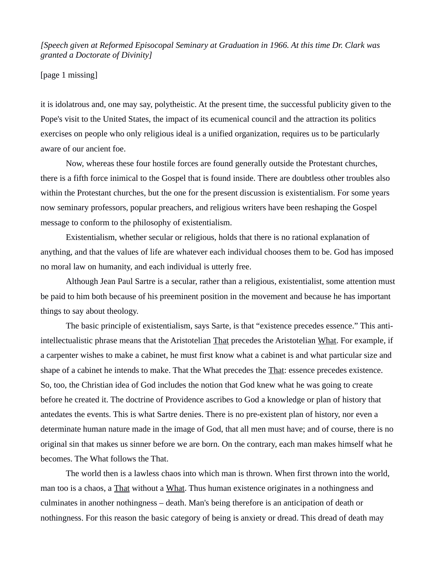*[Speech given at Reformed Episocopal Seminary at Graduation in 1966. At this time Dr. Clark was granted a Doctorate of Divinity]*

## [page 1 missing]

it is idolatrous and, one may say, polytheistic. At the present time, the successful publicity given to the Pope's visit to the United States, the impact of its ecumenical council and the attraction its politics exercises on people who only religious ideal is a unified organization, requires us to be particularly aware of our ancient foe.

Now, whereas these four hostile forces are found generally outside the Protestant churches, there is a fifth force inimical to the Gospel that is found inside. There are doubtless other troubles also within the Protestant churches, but the one for the present discussion is existentialism. For some years now seminary professors, popular preachers, and religious writers have been reshaping the Gospel message to conform to the philosophy of existentialism.

Existentialism, whether secular or religious, holds that there is no rational explanation of anything, and that the values of life are whatever each individual chooses them to be. God has imposed no moral law on humanity, and each individual is utterly free.

Although Jean Paul Sartre is a secular, rather than a religious, existentialist, some attention must be paid to him both because of his preeminent position in the movement and because he has important things to say about theology.

The basic principle of existentialism, says Sarte, is that "existence precedes essence." This antiintellectualistic phrase means that the Aristotelian That precedes the Aristotelian What. For example, if a carpenter wishes to make a cabinet, he must first know what a cabinet is and what particular size and shape of a cabinet he intends to make. That the What precedes the That: essence precedes existence. So, too, the Christian idea of God includes the notion that God knew what he was going to create before he created it. The doctrine of Providence ascribes to God a knowledge or plan of history that antedates the events. This is what Sartre denies. There is no pre-existent plan of history, nor even a determinate human nature made in the image of God, that all men must have; and of course, there is no original sin that makes us sinner before we are born. On the contrary, each man makes himself what he becomes. The What follows the That.

The world then is a lawless chaos into which man is thrown. When first thrown into the world, man too is a chaos, a That without a What. Thus human existence originates in a nothingness and culminates in another nothingness – death. Man's being therefore is an anticipation of death or nothingness. For this reason the basic category of being is anxiety or dread. This dread of death may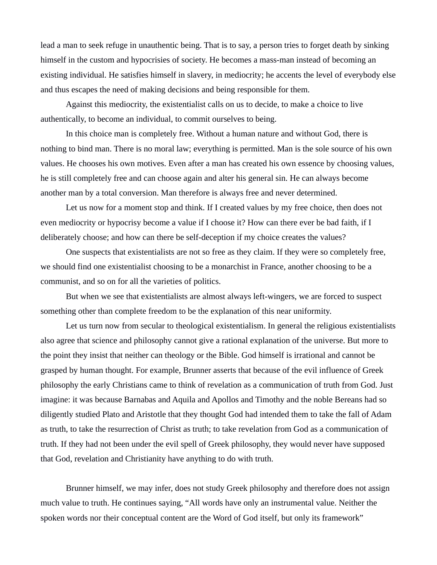lead a man to seek refuge in unauthentic being. That is to say, a person tries to forget death by sinking himself in the custom and hypocrisies of society. He becomes a mass-man instead of becoming an existing individual. He satisfies himself in slavery, in mediocrity; he accents the level of everybody else and thus escapes the need of making decisions and being responsible for them.

Against this mediocrity, the existentialist calls on us to decide, to make a choice to live authentically, to become an individual, to commit ourselves to being.

In this choice man is completely free. Without a human nature and without God, there is nothing to bind man. There is no moral law; everything is permitted. Man is the sole source of his own values. He chooses his own motives. Even after a man has created his own essence by choosing values, he is still completely free and can choose again and alter his general sin. He can always become another man by a total conversion. Man therefore is always free and never determined.

Let us now for a moment stop and think. If I created values by my free choice, then does not even mediocrity or hypocrisy become a value if I choose it? How can there ever be bad faith, if I deliberately choose; and how can there be self-deception if my choice creates the values?

One suspects that existentialists are not so free as they claim. If they were so completely free, we should find one existentialist choosing to be a monarchist in France, another choosing to be a communist, and so on for all the varieties of politics.

But when we see that existentialists are almost always left-wingers, we are forced to suspect something other than complete freedom to be the explanation of this near uniformity.

Let us turn now from secular to theological existentialism. In general the religious existentialists also agree that science and philosophy cannot give a rational explanation of the universe. But more to the point they insist that neither can theology or the Bible. God himself is irrational and cannot be grasped by human thought. For example, Brunner asserts that because of the evil influence of Greek philosophy the early Christians came to think of revelation as a communication of truth from God. Just imagine: it was because Barnabas and Aquila and Apollos and Timothy and the noble Bereans had so diligently studied Plato and Aristotle that they thought God had intended them to take the fall of Adam as truth, to take the resurrection of Christ as truth; to take revelation from God as a communication of truth. If they had not been under the evil spell of Greek philosophy, they would never have supposed that God, revelation and Christianity have anything to do with truth.

Brunner himself, we may infer, does not study Greek philosophy and therefore does not assign much value to truth. He continues saying, "All words have only an instrumental value. Neither the spoken words nor their conceptual content are the Word of God itself, but only its framework"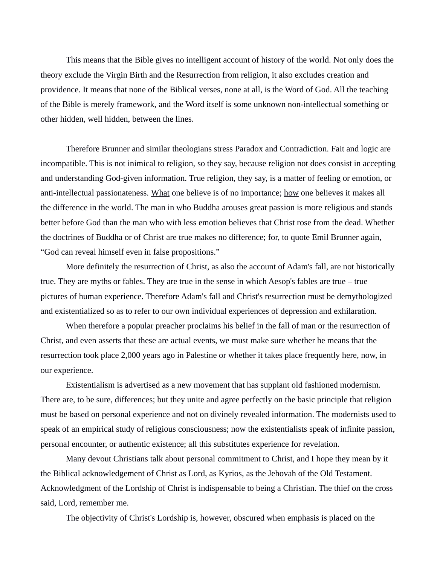This means that the Bible gives no intelligent account of history of the world. Not only does the theory exclude the Virgin Birth and the Resurrection from religion, it also excludes creation and providence. It means that none of the Biblical verses, none at all, is the Word of God. All the teaching of the Bible is merely framework, and the Word itself is some unknown non-intellectual something or other hidden, well hidden, between the lines.

Therefore Brunner and similar theologians stress Paradox and Contradiction. Fait and logic are incompatible. This is not inimical to religion, so they say, because religion not does consist in accepting and understanding God-given information. True religion, they say, is a matter of feeling or emotion, or anti-intellectual passionateness. What one believe is of no importance; how one believes it makes all the difference in the world. The man in who Buddha arouses great passion is more religious and stands better before God than the man who with less emotion believes that Christ rose from the dead. Whether the doctrines of Buddha or of Christ are true makes no difference; for, to quote Emil Brunner again, "God can reveal himself even in false propositions."

More definitely the resurrection of Christ, as also the account of Adam's fall, are not historically true. They are myths or fables. They are true in the sense in which Aesop's fables are true – true pictures of human experience. Therefore Adam's fall and Christ's resurrection must be demythologized and existentialized so as to refer to our own individual experiences of depression and exhilaration.

When therefore a popular preacher proclaims his belief in the fall of man or the resurrection of Christ, and even asserts that these are actual events, we must make sure whether he means that the resurrection took place 2,000 years ago in Palestine or whether it takes place frequently here, now, in our experience.

Existentialism is advertised as a new movement that has supplant old fashioned modernism. There are, to be sure, differences; but they unite and agree perfectly on the basic principle that religion must be based on personal experience and not on divinely revealed information. The modernists used to speak of an empirical study of religious consciousness; now the existentialists speak of infinite passion, personal encounter, or authentic existence; all this substitutes experience for revelation.

Many devout Christians talk about personal commitment to Christ, and I hope they mean by it the Biblical acknowledgement of Christ as Lord, as Kyrios, as the Jehovah of the Old Testament. Acknowledgment of the Lordship of Christ is indispensable to being a Christian. The thief on the cross said, Lord, remember me.

The objectivity of Christ's Lordship is, however, obscured when emphasis is placed on the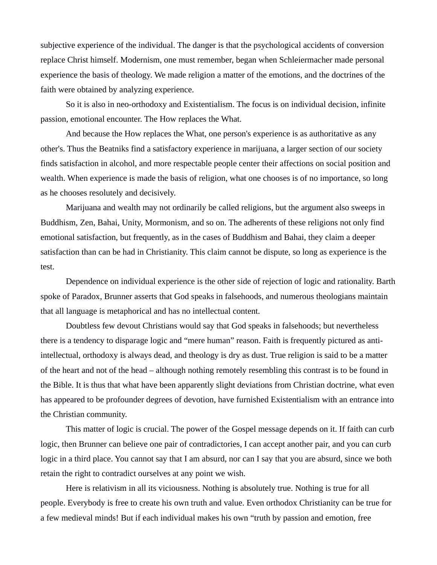subjective experience of the individual. The danger is that the psychological accidents of conversion replace Christ himself. Modernism, one must remember, began when Schleiermacher made personal experience the basis of theology. We made religion a matter of the emotions, and the doctrines of the faith were obtained by analyzing experience.

So it is also in neo-orthodoxy and Existentialism. The focus is on individual decision, infinite passion, emotional encounter. The How replaces the What.

And because the How replaces the What, one person's experience is as authoritative as any other's. Thus the Beatniks find a satisfactory experience in marijuana, a larger section of our society finds satisfaction in alcohol, and more respectable people center their affections on social position and wealth. When experience is made the basis of religion, what one chooses is of no importance, so long as he chooses resolutely and decisively.

Marijuana and wealth may not ordinarily be called religions, but the argument also sweeps in Buddhism, Zen, Bahai, Unity, Mormonism, and so on. The adherents of these religions not only find emotional satisfaction, but frequently, as in the cases of Buddhism and Bahai, they claim a deeper satisfaction than can be had in Christianity. This claim cannot be dispute, so long as experience is the test.

Dependence on individual experience is the other side of rejection of logic and rationality. Barth spoke of Paradox, Brunner asserts that God speaks in falsehoods, and numerous theologians maintain that all language is metaphorical and has no intellectual content.

Doubtless few devout Christians would say that God speaks in falsehoods; but nevertheless there is a tendency to disparage logic and "mere human" reason. Faith is frequently pictured as antiintellectual, orthodoxy is always dead, and theology is dry as dust. True religion is said to be a matter of the heart and not of the head – although nothing remotely resembling this contrast is to be found in the Bible. It is thus that what have been apparently slight deviations from Christian doctrine, what even has appeared to be profounder degrees of devotion, have furnished Existentialism with an entrance into the Christian community.

This matter of logic is crucial. The power of the Gospel message depends on it. If faith can curb logic, then Brunner can believe one pair of contradictories, I can accept another pair, and you can curb logic in a third place. You cannot say that I am absurd, nor can I say that you are absurd, since we both retain the right to contradict ourselves at any point we wish.

Here is relativism in all its viciousness. Nothing is absolutely true. Nothing is true for all people. Everybody is free to create his own truth and value. Even orthodox Christianity can be true for a few medieval minds! But if each individual makes his own "truth by passion and emotion, free